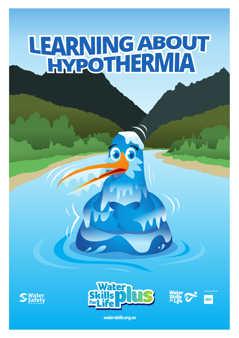# LEARNINGABOUT









*waterskills.org.nz*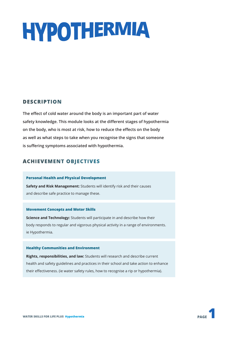# **HYPOTHERMIA**

#### **DESCRIPTION**

**The effect of cold water around the body is an important part of water safety knowledge. This module looks at the different stages of hypothermia on the body, who is most at risk, how to reduce the effects on the body as well as what steps to take when you recognise the signs that someone is suffering symptoms associated with hypothermia.** 

#### **ACHIEVEMENT OBJECTIVES**

#### **Personal Health and Physical Development**

**Safety and Risk Management:** Students will identify risk and their causes and describe safe practice to manage these.

#### **Movement Concepts and Motor Skills**

**Science and Technology:** Students will participate in and describe how their body responds to regular and vigorous physical activity in a range of environments. ie Hypothermia.

#### **Healthy Communities and Environment**

**Rights, responsibilities, and law:** Students will research and describe current health and safety guidelines and practices in their school and take action to enhance their effectiveness. (ie water safety rules, how to recognise a rip or hypothermia).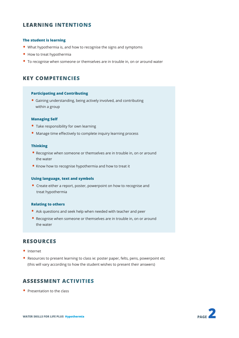#### **LEARNING INTENTIONS**

#### **The student is learning**

- What hypothermia is, and how to recognise the signs and symptoms
- How to treat hypothermia
- To recognise when someone or themselves are in trouble in, on or around water

#### **KEY COMPETENCIES**

#### **Participating and Contributing**

• Gaining understanding, being actively involved, and contributing within a group

#### **Managing Self**

- Take responsibility for own learning
- Manage time effectively to complete inquiry learning process

#### **Thinking**

- Recognise when someone or themselves are in trouble in, on or around the water
- Know how to recognise hypothermia and how to treat it

#### **Using language, text and symbols**

• Create either a report, poster, powerpoint on how to recognise and treat hypothermia

#### **Relating to others**

- Ask questions and seek help when needed with teacher and peer
- Recognise when someone or themselves are in trouble in, on or around the water

#### **RESOURCES**

- Internet
- Resources to present learning to class ie: poster paper, felts, pens, powerpoint etc (this will vary according to how the student wishes to present their answers)

#### **ASSESSMENT ACTIVITIES**

• Presentation to the class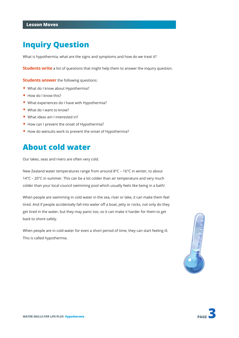## **Inquiry Question**

What is hypothermia, what are the signs and symptoms and how do we treat it?

**Students write** a list of questions that might help them to answer the inquiry question.

**Students answer** the following questions:

- What do I know about Hypothermia?
- How do I know this?
- What experiences do I have with Hypothermia?
- What do I want to know?
- What ideas am I interested in?
- How can I prevent the onset of Hypothermia?
- How do wetsuits work to prevent the onset of Hypothermia?

### **About cold water**

Our lakes, seas and rivers are often very cold.

New Zealand water temperatures range from around 8°C – 16°C in winter, to about 14°C – 20°C in summer. This can be a lot colder than air temperature and very much colder than your local council swimming pool which usually feels like being in a bath!

When people are swimming in cold water in the sea, river or lake, it can make them feel tired. And if people accidentally fall into water off a boat, jetty or rocks, not only do they get tired in the water, but they may panic too, so it can make it harder for them to get back to shore safely.

When people are in cold water for even a short period of time, they can start feeling ill. This is called hypothermia.



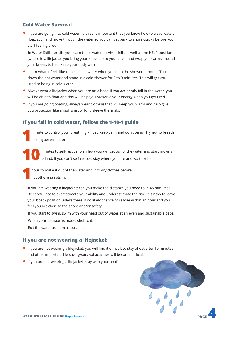#### **Cold Water Survival**

• If you are going into cold water, it is really important that you know how to tread water, float, scull and move through the water so you can get back to shore quicky before you start feeling tired.

In Water Skills for Life you learn these water survival skills as well as the HELP position (where in a lifejacket you bring your knees up to your chest and wrap your arms around your knees, to help keep your body warm).

- Learn what it feels like to be in cold water when you're in the shower at home. Turn down the hot water and stand in a cold shower for 2 to 3 minutes. This will get you used to being in cold water.
- Always wear a lifejacket when you are on a boat. If you accidently fall in the water, you will be able to float and this will help you preserve your energy when you get tired.
- If you are going boating, always wear clothing that will keep you warm and help give you protection like a rash shirt or long sleeve thermals.

#### **If you fall in cold water, follow the 1-10-1 guide**

**1**minute to control your breathing – float, keep calm and don't panic. Try not to breath fast (hyperventilate)

**10**minutes to self-rescue, plan how you will get out of the water and start moving to land. If you can't self-rescue, stay where you are and wait for help.

**1**hour to make it out of the water and into dry clothes before hypothermia sets in.

If you are wearing a lifejacket: can you make the distance you need to in 45 minutes? Be careful not to overestimate your ability and underestimate the risk. It is risky to leave your boat / position unless there is no likely chance of rescue within an hour and you feel you are close to the shore and/or safety.

If you start to swim, swim with your head out of water at an even and sustainable pace. When your decision is made, stick to it.

Exit the water as soon as possible.

#### **If you are not wearing a lifejacket**

- If you are not wearing a lifejacket, you will find it difficult to stay afloat after 10 minutes and other important life-saving/survival activities will become difficult
- If you are not wearing a lifejacket, stay with your boat!